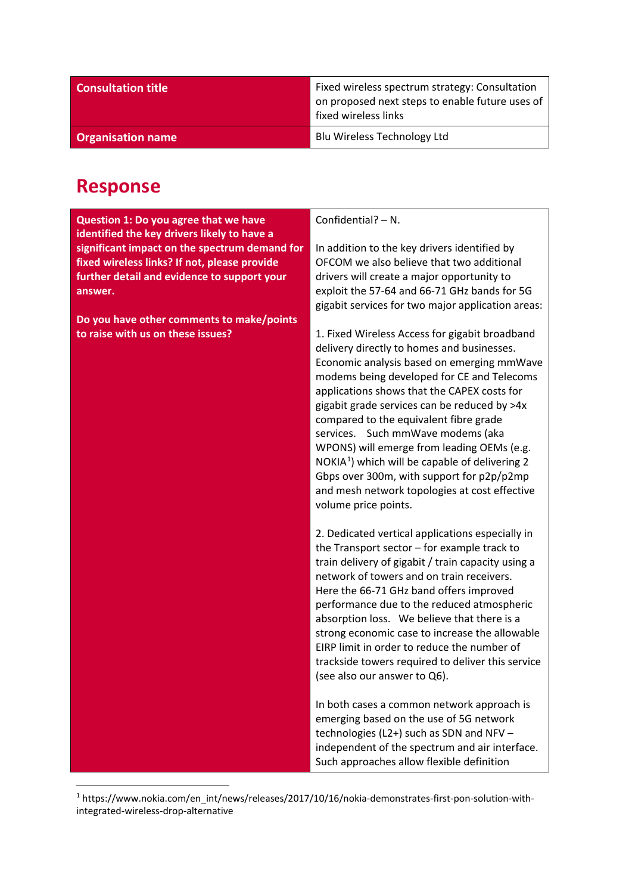| <b>Consultation title</b> | Fixed wireless spectrum strategy: Consultation<br>on proposed next steps to enable future uses of<br>fixed wireless links |
|---------------------------|---------------------------------------------------------------------------------------------------------------------------|
| <b>Organisation name</b>  | Blu Wireless Technology Ltd                                                                                               |

## **Response**

**Question 1: Do you agree that we have identified the key drivers likely to have a significant impact on the spectrum demand for fixed wireless links? If not, please provide further detail and evidence to support your answer.** 

**Do you have other comments to make/points to raise with us on these issues?**

Confidential? – N.

In addition to the key drivers identified by OFCOM we also believe that two additional drivers will create a major opportunity to exploit the 57-64 and 66-71 GHz bands for 5G gigabit services for two major application areas:

1. Fixed Wireless Access for gigabit broadband delivery directly to homes and businesses. Economic analysis based on emerging mmWave modems being developed for CE and Telecoms applications shows that the CAPEX costs for gigabit grade services can be reduced by >4x compared to the equivalent fibre grade services. Such mmWave modems (aka WPONS) will emerge from leading OEMs (e.g. NOKIA<sup>[1](#page-0-0)</sup>) which will be capable of delivering 2 Gbps over 300m, with support for p2p/p2mp and mesh network topologies at cost effective volume price points.

2. Dedicated vertical applications especially in the Transport sector – for example track to train delivery of gigabit / train capacity using a network of towers and on train receivers. Here the 66-71 GHz band offers improved performance due to the reduced atmospheric absorption loss. We believe that there is a strong economic case to increase the allowable EIRP limit in order to reduce the number of trackside towers required to deliver this service (see also our answer to Q6).

In both cases a common network approach is emerging based on the use of 5G network technologies (L2+) such as SDN and NFV – independent of the spectrum and air interface. Such approaches allow flexible definition

<span id="page-0-0"></span> <sup>1</sup> https://www.nokia.com/en\_int/news/releases/2017/10/16/nokia-demonstrates-first-pon-solution-withintegrated-wireless-drop-alternative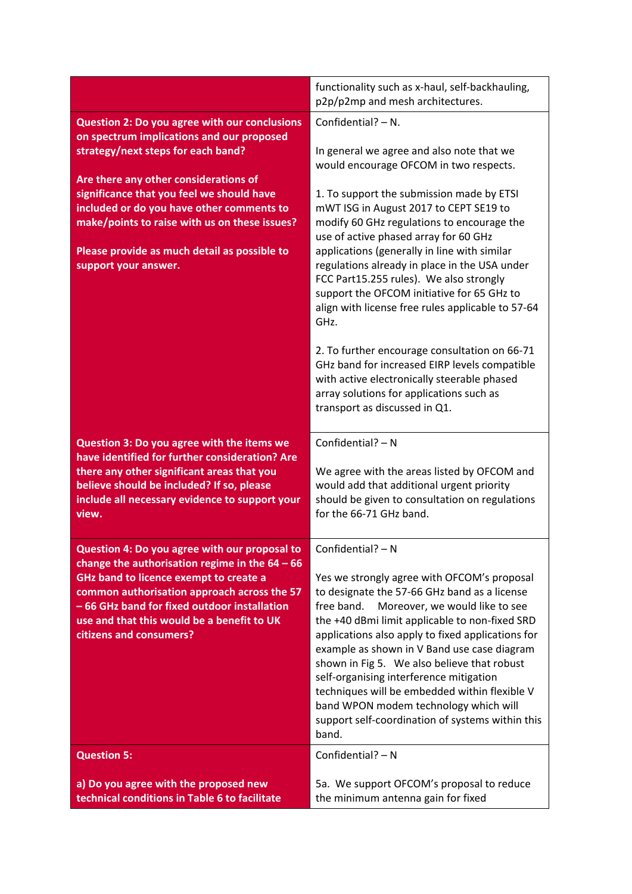|                                                                                             | functionality such as x-haul, self-backhauling,<br>p2p/p2mp and mesh architectures.         |
|---------------------------------------------------------------------------------------------|---------------------------------------------------------------------------------------------|
| <b>Question 2: Do you agree with our conclusions</b>                                        | Confidential? $- N$ .                                                                       |
| on spectrum implications and our proposed                                                   |                                                                                             |
| strategy/next steps for each band?                                                          | In general we agree and also note that we<br>would encourage OFCOM in two respects.         |
| Are there any other considerations of                                                       |                                                                                             |
| significance that you feel we should have                                                   | 1. To support the submission made by ETSI                                                   |
| included or do you have other comments to<br>make/points to raise with us on these issues?  | mWT ISG in August 2017 to CEPT SE19 to<br>modify 60 GHz regulations to encourage the        |
|                                                                                             | use of active phased array for 60 GHz                                                       |
| Please provide as much detail as possible to                                                | applications (generally in line with similar                                                |
| support your answer.                                                                        | regulations already in place in the USA under                                               |
|                                                                                             | FCC Part15.255 rules). We also strongly                                                     |
|                                                                                             | support the OFCOM initiative for 65 GHz to                                                  |
|                                                                                             | align with license free rules applicable to 57-64<br>GHz.                                   |
|                                                                                             |                                                                                             |
|                                                                                             | 2. To further encourage consultation on 66-71                                               |
|                                                                                             | GHz band for increased EIRP levels compatible                                               |
|                                                                                             | with active electronically steerable phased                                                 |
|                                                                                             | array solutions for applications such as<br>transport as discussed in Q1.                   |
|                                                                                             |                                                                                             |
| Question 3: Do you agree with the items we                                                  | Confidential? $- N$                                                                         |
| have identified for further consideration? Are                                              |                                                                                             |
| there any other significant areas that you                                                  | We agree with the areas listed by OFCOM and                                                 |
| believe should be included? If so, please<br>include all necessary evidence to support your | would add that additional urgent priority<br>should be given to consultation on regulations |
| view.                                                                                       | for the 66-71 GHz band.                                                                     |
|                                                                                             |                                                                                             |
| Question 4: Do you agree with our proposal to                                               | Confidential? - N                                                                           |
| change the authorisation regime in the $64 - 66$<br>GHz band to licence exempt to create a  | Yes we strongly agree with OFCOM's proposal                                                 |
| common authorisation approach across the 57                                                 | to designate the 57-66 GHz band as a license                                                |
| -66 GHz band for fixed outdoor installation                                                 | free band.<br>Moreover, we would like to see                                                |
| use and that this would be a benefit to UK                                                  | the +40 dBmi limit applicable to non-fixed SRD                                              |
| citizens and consumers?                                                                     | applications also apply to fixed applications for                                           |
|                                                                                             | example as shown in V Band use case diagram<br>shown in Fig 5. We also believe that robust  |
|                                                                                             | self-organising interference mitigation                                                     |
|                                                                                             | techniques will be embedded within flexible V                                               |
|                                                                                             | band WPON modem technology which will                                                       |
|                                                                                             | support self-coordination of systems within this                                            |
|                                                                                             | band.                                                                                       |
| <b>Question 5:</b>                                                                          | Confidential? - N                                                                           |
| a) Do you agree with the proposed new                                                       | 5a. We support OFCOM's proposal to reduce                                                   |
| technical conditions in Table 6 to facilitate                                               | the minimum antenna gain for fixed                                                          |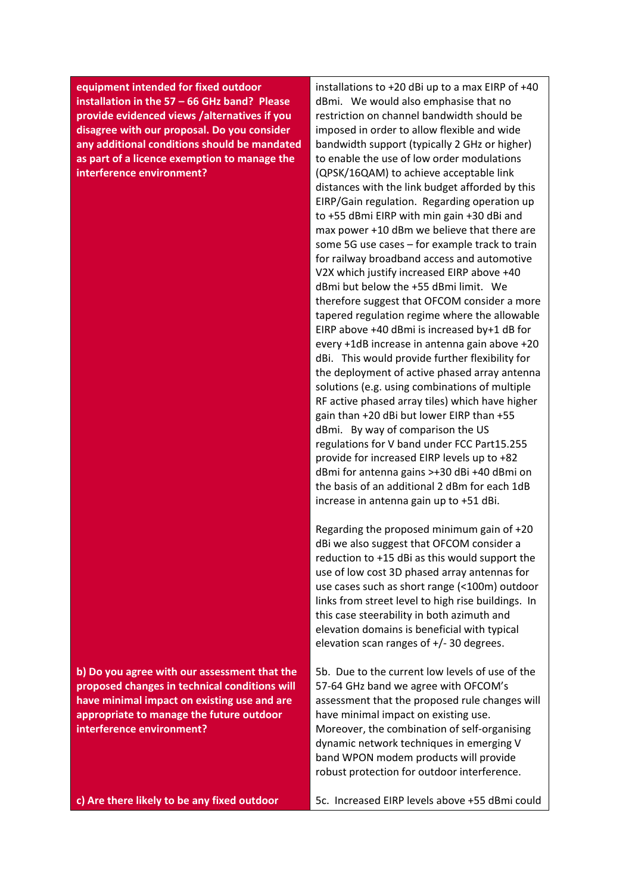**equipment intended for fixed outdoor installation in the 57 – 66 GHz band? Please provide evidenced views /alternatives if you disagree with our proposal. Do you consider any additional conditions should be mandated as part of a licence exemption to manage the interference environment?**

**b) Do you agree with our assessment that the proposed changes in technical conditions will have minimal impact on existing use and are appropriate to manage the future outdoor interference environment?** 

**c) Are there likely to be any fixed outdoor** 

installations to +20 dBi up to a max EIRP of +40 dBmi. We would also emphasise that no restriction on channel bandwidth should be imposed in order to allow flexible and wide bandwidth support (typically 2 GHz or higher) to enable the use of low order modulations (QPSK/16QAM) to achieve acceptable link distances with the link budget afforded by this EIRP/Gain regulation. Regarding operation up to +55 dBmi EIRP with min gain +30 dBi and max power +10 dBm we believe that there are some 5G use cases – for example track to train for railway broadband access and automotive V2X which justify increased EIRP above +40 dBmi but below the +55 dBmi limit. We therefore suggest that OFCOM consider a more tapered regulation regime where the allowable EIRP above +40 dBmi is increased by+1 dB for every +1dB increase in antenna gain above +20 dBi. This would provide further flexibility for the deployment of active phased array antenna solutions (e.g. using combinations of multiple RF active phased array tiles) which have higher gain than +20 dBi but lower EIRP than +55 dBmi. By way of comparison the US regulations for V band under FCC Part15.255 provide for increased EIRP levels up to +82 dBmi for antenna gains >+30 dBi +40 dBmi on the basis of an additional 2 dBm for each 1dB increase in antenna gain up to +51 dBi.

Regarding the proposed minimum gain of +20 dBi we also suggest that OFCOM consider a reduction to +15 dBi as this would support the use of low cost 3D phased array antennas for use cases such as short range (<100m) outdoor links from street level to high rise buildings. In this case steerability in both azimuth and elevation domains is beneficial with typical elevation scan ranges of +/- 30 degrees.

5b. Due to the current low levels of use of the 57-64 GHz band we agree with OFCOM's assessment that the proposed rule changes will have minimal impact on existing use. Moreover, the combination of self-organising dynamic network techniques in emerging V band WPON modem products will provide robust protection for outdoor interference.

5c. Increased EIRP levels above +55 dBmi could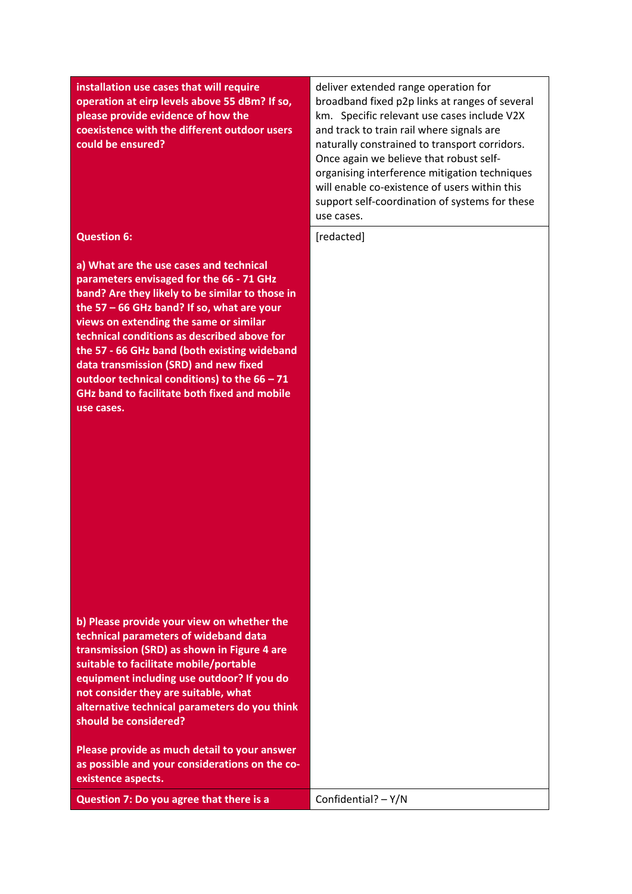| installation use cases that will require<br>operation at eirp levels above 55 dBm? If so,<br>please provide evidence of how the<br>coexistence with the different outdoor users<br>could be ensured?                                                                                                                                                                                                                                                                                          | deliver extended range operation for<br>broadband fixed p2p links at ranges of several<br>km. Specific relevant use cases include V2X<br>and track to train rail where signals are<br>naturally constrained to transport corridors.<br>Once again we believe that robust self-<br>organising interference mitigation techniques<br>will enable co-existence of users within this<br>support self-coordination of systems for these<br>use cases. |
|-----------------------------------------------------------------------------------------------------------------------------------------------------------------------------------------------------------------------------------------------------------------------------------------------------------------------------------------------------------------------------------------------------------------------------------------------------------------------------------------------|--------------------------------------------------------------------------------------------------------------------------------------------------------------------------------------------------------------------------------------------------------------------------------------------------------------------------------------------------------------------------------------------------------------------------------------------------|
| <b>Question 6:</b>                                                                                                                                                                                                                                                                                                                                                                                                                                                                            | [redacted]                                                                                                                                                                                                                                                                                                                                                                                                                                       |
| a) What are the use cases and technical<br>parameters envisaged for the 66 - 71 GHz<br>band? Are they likely to be similar to those in<br>the 57 - 66 GHz band? If so, what are your<br>views on extending the same or similar<br>technical conditions as described above for<br>the 57 - 66 GHz band (both existing wideband<br>data transmission (SRD) and new fixed<br>outdoor technical conditions) to the $66 - 71$<br><b>GHz band to facilitate both fixed and mobile</b><br>use cases. |                                                                                                                                                                                                                                                                                                                                                                                                                                                  |
| b) Please provide your view on whether the<br>technical parameters of wideband data<br>transmission (SRD) as shown in Figure 4 are<br>suitable to facilitate mobile/portable<br>equipment including use outdoor? If you do<br>not consider they are suitable, what<br>alternative technical parameters do you think<br>should be considered?                                                                                                                                                  |                                                                                                                                                                                                                                                                                                                                                                                                                                                  |
| Please provide as much detail to your answer<br>as possible and your considerations on the co-<br>existence aspects.                                                                                                                                                                                                                                                                                                                                                                          |                                                                                                                                                                                                                                                                                                                                                                                                                                                  |
| Question 7: Do you agree that there is a                                                                                                                                                                                                                                                                                                                                                                                                                                                      | Confidential? $- Y/N$                                                                                                                                                                                                                                                                                                                                                                                                                            |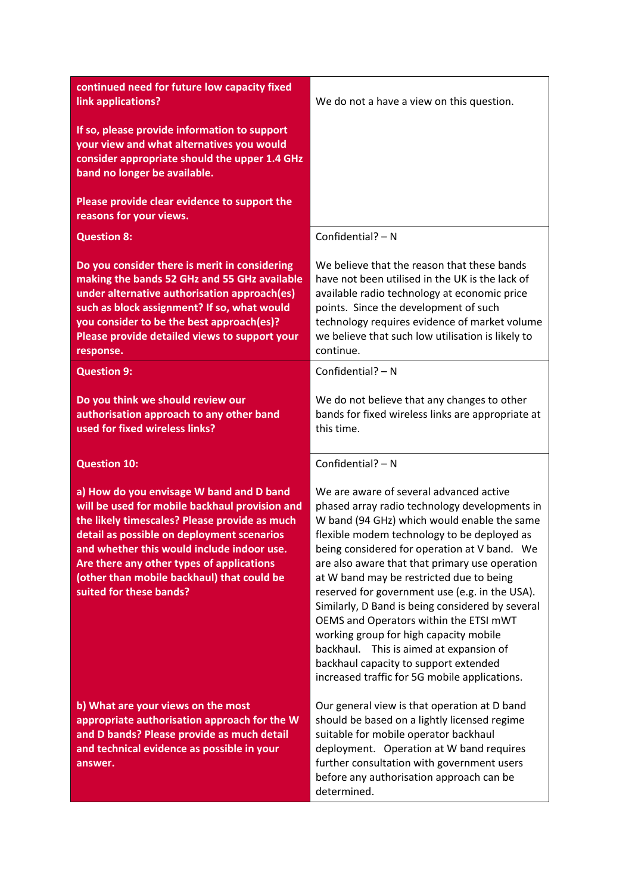| continued need for future low capacity fixed<br>link applications?                                                                                                                                                                                                                                                                                            | We do not a have a view on this question.                                                                                                                                                                                                                                                                                                                                                                                                                                                                                                                                                                                                                           |
|---------------------------------------------------------------------------------------------------------------------------------------------------------------------------------------------------------------------------------------------------------------------------------------------------------------------------------------------------------------|---------------------------------------------------------------------------------------------------------------------------------------------------------------------------------------------------------------------------------------------------------------------------------------------------------------------------------------------------------------------------------------------------------------------------------------------------------------------------------------------------------------------------------------------------------------------------------------------------------------------------------------------------------------------|
| If so, please provide information to support<br>your view and what alternatives you would<br>consider appropriate should the upper 1.4 GHz<br>band no longer be available.                                                                                                                                                                                    |                                                                                                                                                                                                                                                                                                                                                                                                                                                                                                                                                                                                                                                                     |
| Please provide clear evidence to support the<br>reasons for your views.                                                                                                                                                                                                                                                                                       |                                                                                                                                                                                                                                                                                                                                                                                                                                                                                                                                                                                                                                                                     |
| <b>Question 8:</b>                                                                                                                                                                                                                                                                                                                                            | Confidential? - N                                                                                                                                                                                                                                                                                                                                                                                                                                                                                                                                                                                                                                                   |
| Do you consider there is merit in considering<br>making the bands 52 GHz and 55 GHz available<br>under alternative authorisation approach(es)<br>such as block assignment? If so, what would<br>you consider to be the best approach(es)?<br>Please provide detailed views to support your<br>response.                                                       | We believe that the reason that these bands<br>have not been utilised in the UK is the lack of<br>available radio technology at economic price<br>points. Since the development of such<br>technology requires evidence of market volume<br>we believe that such low utilisation is likely to<br>continue.                                                                                                                                                                                                                                                                                                                                                          |
| <b>Question 9:</b>                                                                                                                                                                                                                                                                                                                                            | Confidential? - N                                                                                                                                                                                                                                                                                                                                                                                                                                                                                                                                                                                                                                                   |
| Do you think we should review our<br>authorisation approach to any other band<br>used for fixed wireless links?                                                                                                                                                                                                                                               | We do not believe that any changes to other<br>bands for fixed wireless links are appropriate at<br>this time.                                                                                                                                                                                                                                                                                                                                                                                                                                                                                                                                                      |
| <b>Question 10:</b>                                                                                                                                                                                                                                                                                                                                           | Confidential? - N                                                                                                                                                                                                                                                                                                                                                                                                                                                                                                                                                                                                                                                   |
| a) How do you envisage W band and D band<br>will be used for mobile backhaul provision and<br>the likely timescales? Please provide as much<br>detail as possible on deployment scenarios<br>and whether this would include indoor use.<br>Are there any other types of applications<br>(other than mobile backhaul) that could be<br>suited for these bands? | We are aware of several advanced active<br>phased array radio technology developments in<br>W band (94 GHz) which would enable the same<br>flexible modem technology to be deployed as<br>being considered for operation at V band. We<br>are also aware that that primary use operation<br>at W band may be restricted due to being<br>reserved for government use (e.g. in the USA).<br>Similarly, D Band is being considered by several<br>OEMS and Operators within the ETSI mWT<br>working group for high capacity mobile<br>backhaul. This is aimed at expansion of<br>backhaul capacity to support extended<br>increased traffic for 5G mobile applications. |
| b) What are your views on the most<br>appropriate authorisation approach for the W<br>and D bands? Please provide as much detail<br>and technical evidence as possible in your<br>answer.                                                                                                                                                                     | Our general view is that operation at D band<br>should be based on a lightly licensed regime<br>suitable for mobile operator backhaul<br>deployment. Operation at W band requires<br>further consultation with government users<br>before any authorisation approach can be<br>determined.                                                                                                                                                                                                                                                                                                                                                                          |